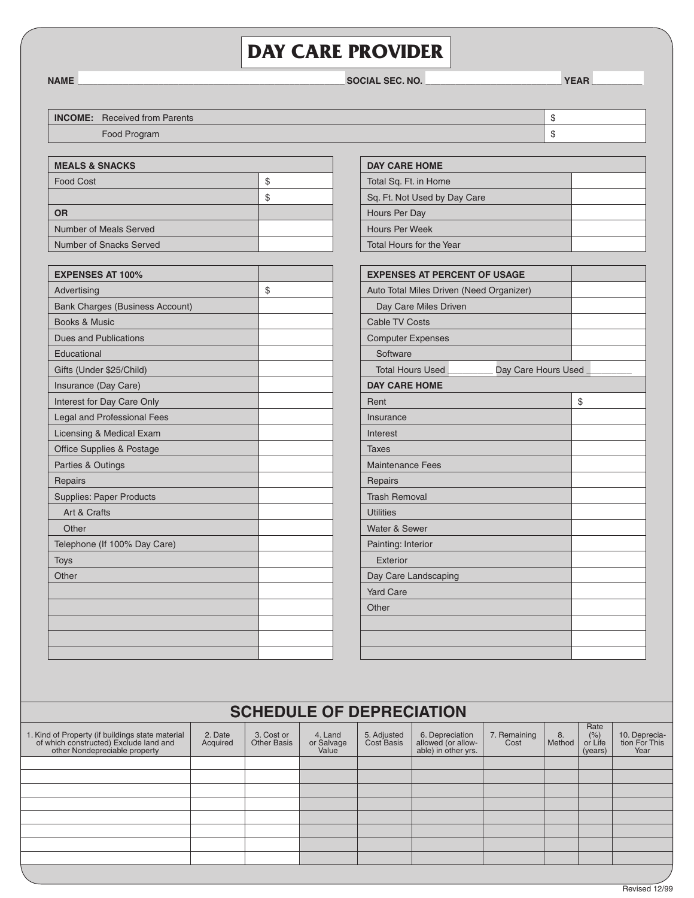## **Day Care Provider**

**Name \_\_\_\_\_\_\_\_\_\_\_\_\_\_\_\_\_\_\_\_\_\_\_\_\_\_\_\_\_\_\_\_\_\_\_\_\_\_\_\_\_\_\_\_\_\_\_\_\_\_\_\_\_ Social Sec. No. \_\_\_\_\_\_\_\_\_\_\_\_\_\_\_\_\_\_\_\_\_\_\_\_\_\_\_ Year \_\_\_\_\_\_\_\_\_\_**

| <b>INCOME:</b> | <b>Received from Parents</b> |  |
|----------------|------------------------------|--|
|                | Food Program                 |  |

| <b>MEALS &amp; SNACKS</b> |   |  |  |  |
|---------------------------|---|--|--|--|
| <b>Food Cost</b>          | S |  |  |  |
|                           | S |  |  |  |
| <b>OR</b>                 |   |  |  |  |
| Number of Meals Served    |   |  |  |  |
| Number of Snacks Served   |   |  |  |  |

| <b>EXPENSES AT 100%</b>                |    |
|----------------------------------------|----|
| Advertising                            | \$ |
| <b>Bank Charges (Business Account)</b> |    |
| Books & Music                          |    |
| <b>Dues and Publications</b>           |    |
| Educational                            |    |
| Gifts (Under \$25/Child)               |    |
| Insurance (Day Care)                   |    |
| Interest for Day Care Only             |    |
| Legal and Professional Fees            |    |
| Licensing & Medical Exam               |    |
| <b>Office Supplies &amp; Postage</b>   |    |
| Parties & Outings                      |    |
| Repairs                                |    |
| <b>Supplies: Paper Products</b>        |    |
| Art & Crafts                           |    |
| Other                                  |    |
| Telephone (If 100% Day Care)           |    |
| <b>Toys</b>                            |    |
| Other                                  |    |
|                                        |    |
|                                        |    |
|                                        |    |
|                                        |    |
|                                        |    |

| <b>DAY CARE HOME</b>         |  |  |  |
|------------------------------|--|--|--|
| Total Sq. Ft. in Home        |  |  |  |
| Sq. Ft. Not Used by Day Care |  |  |  |
| Hours Per Day                |  |  |  |
| Hours Per Week               |  |  |  |
| Total Hours for the Year     |  |  |  |

| <b>EXPENSES AT PERCENT OF USAGE</b>            |    |
|------------------------------------------------|----|
| Auto Total Miles Driven (Need Organizer)       |    |
| Day Care Miles Driven                          |    |
| <b>Cable TV Costs</b>                          |    |
| <b>Computer Expenses</b>                       |    |
| Software                                       |    |
| <b>Total Hours Used</b><br>Day Care Hours Used |    |
| <b>DAY CARE HOME</b>                           |    |
| Rent                                           | \$ |
| Insurance                                      |    |
| Interest                                       |    |
| <b>Taxes</b>                                   |    |
| <b>Maintenance Fees</b>                        |    |
| Repairs                                        |    |
| <b>Trash Removal</b>                           |    |
| <b>Utilities</b>                               |    |
| Water & Sewer                                  |    |
| Painting: Interior                             |    |
| Exterior                                       |    |
| Day Care Landscaping                           |    |
| <b>Yard Care</b>                               |    |
| Other                                          |    |
|                                                |    |
|                                                |    |
|                                                |    |

| <b>SCHEDULE OF DEPRECIATION</b>                                                                                             |                     |                           |                                |                           |                                                              |                      |              |                                                  |                                        |
|-----------------------------------------------------------------------------------------------------------------------------|---------------------|---------------------------|--------------------------------|---------------------------|--------------------------------------------------------------|----------------------|--------------|--------------------------------------------------|----------------------------------------|
| 1. Kind of Property (if buildings state material<br>of which constructed) Exclude land and<br>other Nondepreciable property | 2. Date<br>Acquired | 3. Cost or<br>Other Basis | 4. Land<br>or Salvage<br>Value | 5. Adjusted<br>Cost Basis | 6. Depreciation<br>allowed (or allow-<br>able) in other yrs. | 7. Remaining<br>Cost | 8.<br>Method | Rate<br>$\frac{(\%)}{\text{or Life}}$<br>(years) | 10. Deprecia-<br>tion For This<br>Year |
|                                                                                                                             |                     |                           |                                |                           |                                                              |                      |              |                                                  |                                        |
|                                                                                                                             |                     |                           |                                |                           |                                                              |                      |              |                                                  |                                        |
|                                                                                                                             |                     |                           |                                |                           |                                                              |                      |              |                                                  |                                        |
|                                                                                                                             |                     |                           |                                |                           |                                                              |                      |              |                                                  |                                        |
|                                                                                                                             |                     |                           |                                |                           |                                                              |                      |              |                                                  |                                        |
|                                                                                                                             |                     |                           |                                |                           |                                                              |                      |              |                                                  |                                        |
|                                                                                                                             |                     |                           |                                |                           |                                                              |                      |              |                                                  |                                        |
|                                                                                                                             |                     |                           |                                |                           |                                                              |                      |              |                                                  |                                        |
|                                                                                                                             |                     |                           |                                |                           |                                                              |                      |              |                                                  |                                        |